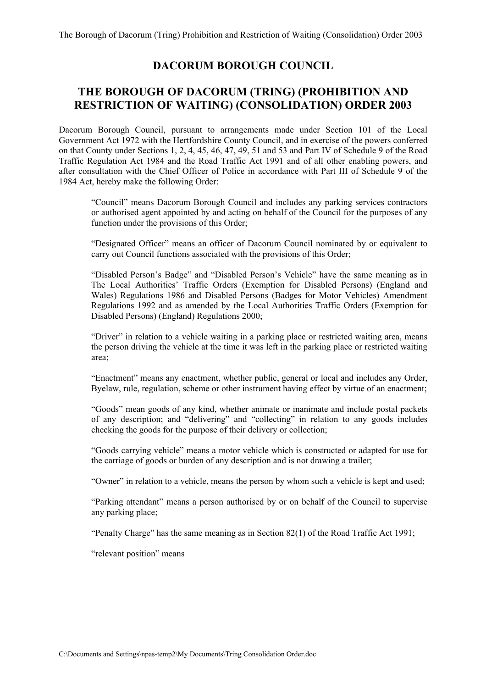# **DACORUM BOROUGH COUNCIL**

# **THE BOROUGH OF DACORUM (TRING) (PROHIBITION AND RESTRICTION OF WAITING) (CONSOLIDATION) ORDER 2003**

Dacorum Borough Council, pursuant to arrangements made under Section 101 of the Local Government Act 1972 with the Hertfordshire County Council, and in exercise of the powers conferred on that County under Sections 1, 2, 4, 45, 46, 47, 49, 51 and 53 and Part IV of Schedule 9 of the Road Traffic Regulation Act 1984 and the Road Traffic Act 1991 and of all other enabling powers, and after consultation with the Chief Officer of Police in accordance with Part III of Schedule 9 of the 1984 Act, hereby make the following Order:

 "Council" means Dacorum Borough Council and includes any parking services contractors or authorised agent appointed by and acting on behalf of the Council for the purposes of any function under the provisions of this Order;

 "Designated Officer" means an officer of Dacorum Council nominated by or equivalent to carry out Council functions associated with the provisions of this Order;

 "Disabled Person's Badge" and "Disabled Person's Vehicle" have the same meaning as in The Local Authorities' Traffic Orders (Exemption for Disabled Persons) (England and Wales) Regulations 1986 and Disabled Persons (Badges for Motor Vehicles) Amendment Regulations 1992 and as amended by the Local Authorities Traffic Orders (Exemption for Disabled Persons) (England) Regulations 2000;

 "Driver" in relation to a vehicle waiting in a parking place or restricted waiting area, means the person driving the vehicle at the time it was left in the parking place or restricted waiting area;

 "Enactment" means any enactment, whether public, general or local and includes any Order, Byelaw, rule, regulation, scheme or other instrument having effect by virtue of an enactment;

 "Goods" mean goods of any kind, whether animate or inanimate and include postal packets of any description; and "delivering" and "collecting" in relation to any goods includes checking the goods for the purpose of their delivery or collection;

 "Goods carrying vehicle" means a motor vehicle which is constructed or adapted for use for the carriage of goods or burden of any description and is not drawing a trailer;

"Owner" in relation to a vehicle, means the person by whom such a vehicle is kept and used;

 "Parking attendant" means a person authorised by or on behalf of the Council to supervise any parking place;

"Penalty Charge" has the same meaning as in Section 82(1) of the Road Traffic Act 1991;

"relevant position" means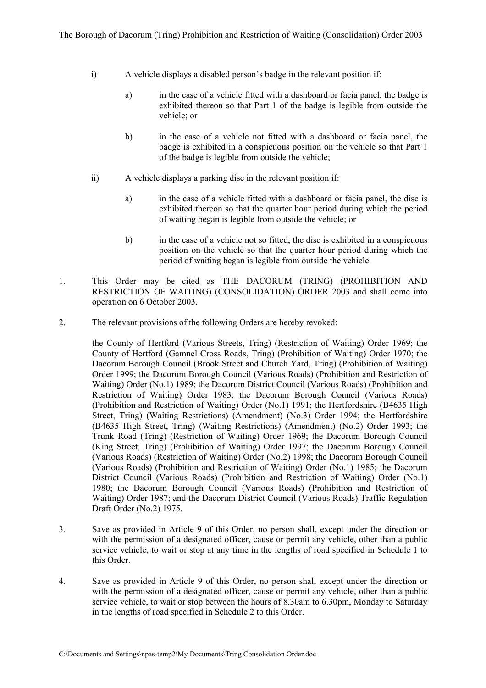- i) A vehicle displays a disabled person's badge in the relevant position if:
	- a) in the case of a vehicle fitted with a dashboard or facia panel, the badge is exhibited thereon so that Part 1 of the badge is legible from outside the vehicle; or
	- b) in the case of a vehicle not fitted with a dashboard or facia panel, the badge is exhibited in a conspicuous position on the vehicle so that Part 1 of the badge is legible from outside the vehicle;
- ii) A vehicle displays a parking disc in the relevant position if:
	- a) in the case of a vehicle fitted with a dashboard or facia panel, the disc is exhibited thereon so that the quarter hour period during which the period of waiting began is legible from outside the vehicle; or
	- b) in the case of a vehicle not so fitted, the disc is exhibited in a conspicuous position on the vehicle so that the quarter hour period during which the period of waiting began is legible from outside the vehicle.
- 1. This Order may be cited as THE DACORUM (TRING) (PROHIBITION AND RESTRICTION OF WAITING) (CONSOLIDATION) ORDER 2003 and shall come into operation on 6 October 2003.
- 2. The relevant provisions of the following Orders are hereby revoked:

 the County of Hertford (Various Streets, Tring) (Restriction of Waiting) Order 1969; the County of Hertford (Gamnel Cross Roads, Tring) (Prohibition of Waiting) Order 1970; the Dacorum Borough Council (Brook Street and Church Yard, Tring) (Prohibition of Waiting) Order 1999; the Dacorum Borough Council (Various Roads) (Prohibition and Restriction of Waiting) Order (No.1) 1989; the Dacorum District Council (Various Roads) (Prohibition and Restriction of Waiting) Order 1983; the Dacorum Borough Council (Various Roads) (Prohibition and Restriction of Waiting) Order (No.1) 1991; the Hertfordshire (B4635 High Street, Tring) (Waiting Restrictions) (Amendment) (No.3) Order 1994; the Hertfordshire (B4635 High Street, Tring) (Waiting Restrictions) (Amendment) (No.2) Order 1993; the Trunk Road (Tring) (Restriction of Waiting) Order 1969; the Dacorum Borough Council (King Street, Tring) (Prohibition of Waiting) Order 1997; the Dacorum Borough Council (Various Roads) (Restriction of Waiting) Order (No.2) 1998; the Dacorum Borough Council (Various Roads) (Prohibition and Restriction of Waiting) Order (No.1) 1985; the Dacorum District Council (Various Roads) (Prohibition and Restriction of Waiting) Order (No.1) 1980; the Dacorum Borough Council (Various Roads) (Prohibition and Restriction of Waiting) Order 1987; and the Dacorum District Council (Various Roads) Traffic Regulation Draft Order (No.2) 1975.

- 3. Save as provided in Article 9 of this Order, no person shall, except under the direction or with the permission of a designated officer, cause or permit any vehicle, other than a public service vehicle, to wait or stop at any time in the lengths of road specified in Schedule 1 to this Order.
- 4. Save as provided in Article 9 of this Order, no person shall except under the direction or with the permission of a designated officer, cause or permit any vehicle, other than a public service vehicle, to wait or stop between the hours of 8.30am to 6.30pm, Monday to Saturday in the lengths of road specified in Schedule 2 to this Order.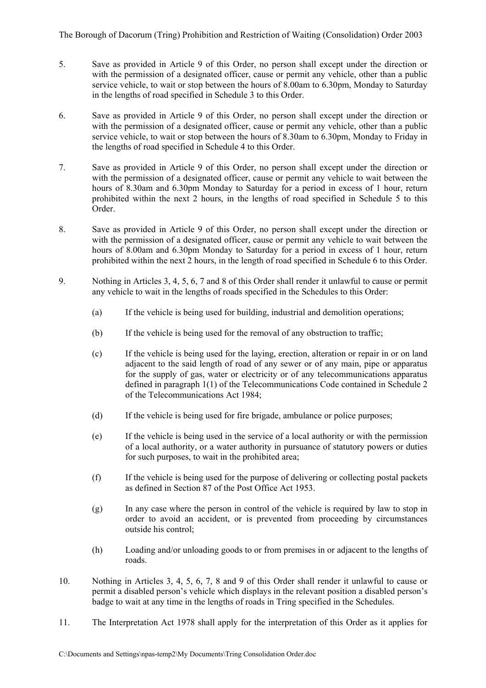The Borough of Dacorum (Tring) Prohibition and Restriction of Waiting (Consolidation) Order 2003

- 5. Save as provided in Article 9 of this Order, no person shall except under the direction or with the permission of a designated officer, cause or permit any vehicle, other than a public service vehicle, to wait or stop between the hours of 8.00am to 6.30pm, Monday to Saturday in the lengths of road specified in Schedule 3 to this Order.
- 6. Save as provided in Article 9 of this Order, no person shall except under the direction or with the permission of a designated officer, cause or permit any vehicle, other than a public service vehicle, to wait or stop between the hours of 8.30am to 6.30pm, Monday to Friday in the lengths of road specified in Schedule 4 to this Order.
- 7. Save as provided in Article 9 of this Order, no person shall except under the direction or with the permission of a designated officer, cause or permit any vehicle to wait between the hours of 8.30am and 6.30pm Monday to Saturday for a period in excess of 1 hour, return prohibited within the next 2 hours, in the lengths of road specified in Schedule 5 to this Order.
- 8. Save as provided in Article 9 of this Order, no person shall except under the direction or with the permission of a designated officer, cause or permit any vehicle to wait between the hours of 8.00am and 6.30pm Monday to Saturday for a period in excess of 1 hour, return prohibited within the next 2 hours, in the length of road specified in Schedule 6 to this Order.
- 9. Nothing in Articles 3, 4, 5, 6, 7 and 8 of this Order shall render it unlawful to cause or permit any vehicle to wait in the lengths of roads specified in the Schedules to this Order:
	- (a) If the vehicle is being used for building, industrial and demolition operations;
	- (b) If the vehicle is being used for the removal of any obstruction to traffic;
	- (c) If the vehicle is being used for the laying, erection, alteration or repair in or on land adjacent to the said length of road of any sewer or of any main, pipe or apparatus for the supply of gas, water or electricity or of any telecommunications apparatus defined in paragraph 1(1) of the Telecommunications Code contained in Schedule 2 of the Telecommunications Act 1984;
	- (d) If the vehicle is being used for fire brigade, ambulance or police purposes;
	- (e) If the vehicle is being used in the service of a local authority or with the permission of a local authority, or a water authority in pursuance of statutory powers or duties for such purposes, to wait in the prohibited area;
	- (f) If the vehicle is being used for the purpose of delivering or collecting postal packets as defined in Section 87 of the Post Office Act 1953.
	- (g) In any case where the person in control of the vehicle is required by law to stop in order to avoid an accident, or is prevented from proceeding by circumstances outside his control;
	- (h) Loading and/or unloading goods to or from premises in or adjacent to the lengths of roads.
- 10. Nothing in Articles 3, 4, 5, 6, 7, 8 and 9 of this Order shall render it unlawful to cause or permit a disabled person's vehicle which displays in the relevant position a disabled person's badge to wait at any time in the lengths of roads in Tring specified in the Schedules.
- 11. The Interpretation Act 1978 shall apply for the interpretation of this Order as it applies for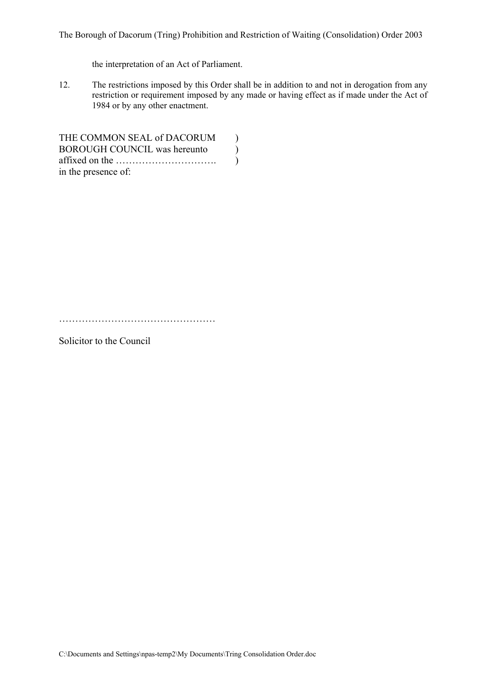The Borough of Dacorum (Tring) Prohibition and Restriction of Waiting (Consolidation) Order 2003

the interpretation of an Act of Parliament.

12. The restrictions imposed by this Order shall be in addition to and not in derogation from any restriction or requirement imposed by any made or having effect as if made under the Act of 1984 or by any other enactment.

THE COMMON SEAL of DACORUM  $)$ BOROUGH COUNCIL was hereunto (a) affixed on the …………………………. ) in the presence of:

…………………………………………

Solicitor to the Council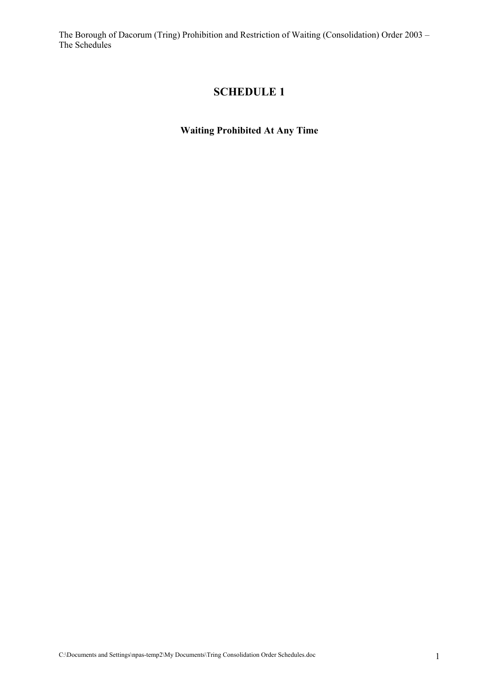# **SCHEDULE 1**

**Waiting Prohibited At Any Time**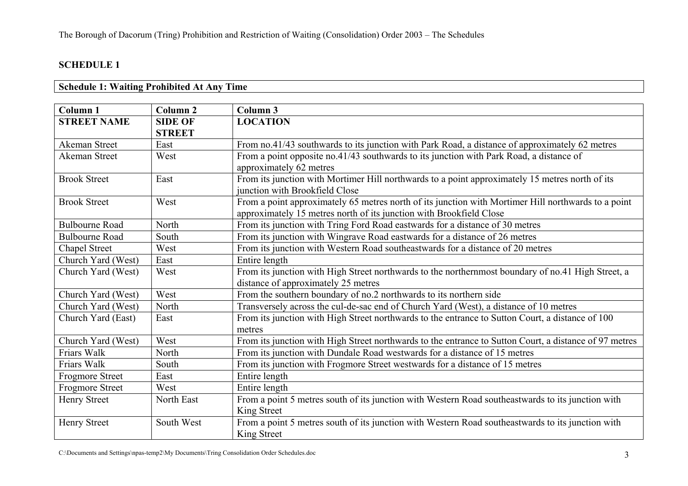### **Schedule 1: Waiting Prohibited At Any Time**

| <b>Column 1</b>        | Column <sub>2</sub> | Column 3                                                                                                                                                                   |  |
|------------------------|---------------------|----------------------------------------------------------------------------------------------------------------------------------------------------------------------------|--|
| <b>STREET NAME</b>     | <b>SIDE OF</b>      | <b>LOCATION</b>                                                                                                                                                            |  |
|                        | <b>STREET</b>       |                                                                                                                                                                            |  |
| Akeman Street          | East                | From no.41/43 southwards to its junction with Park Road, a distance of approximately 62 metres                                                                             |  |
| <b>Akeman Street</b>   | West                | From a point opposite no.41/43 southwards to its junction with Park Road, a distance of<br>approximately 62 metres                                                         |  |
| <b>Brook Street</b>    | East                | From its junction with Mortimer Hill northwards to a point approximately 15 metres north of its<br>junction with Brookfield Close                                          |  |
| <b>Brook Street</b>    | West                | From a point approximately 65 metres north of its junction with Mortimer Hill northwards to a point<br>approximately 15 metres north of its junction with Brookfield Close |  |
| <b>Bulbourne Road</b>  | North               | From its junction with Tring Ford Road eastwards for a distance of 30 metres                                                                                               |  |
| <b>Bulbourne Road</b>  | South               | From its junction with Wingrave Road eastwards for a distance of 26 metres                                                                                                 |  |
| Chapel Street          | West                | From its junction with Western Road southeastwards for a distance of 20 metres                                                                                             |  |
| Church Yard (West)     | East                | Entire length                                                                                                                                                              |  |
| Church Yard (West)     | West                | From its junction with High Street northwards to the northernmost boundary of no.41 High Street, a<br>distance of approximately 25 metres                                  |  |
| Church Yard (West)     | West                | From the southern boundary of no.2 northwards to its northern side                                                                                                         |  |
| Church Yard (West)     | North               | Transversely across the cul-de-sac end of Church Yard (West), a distance of 10 metres                                                                                      |  |
| Church Yard (East)     | East                | From its junction with High Street northwards to the entrance to Sutton Court, a distance of 100<br>metres                                                                 |  |
| Church Yard (West)     | West                | From its junction with High Street northwards to the entrance to Sutton Court, a distance of 97 metres                                                                     |  |
| Friars Walk            | North               | From its junction with Dundale Road westwards for a distance of 15 metres                                                                                                  |  |
| Friars Walk            | South               | From its junction with Frogmore Street westwards for a distance of 15 metres                                                                                               |  |
| <b>Frogmore Street</b> | East                | Entire length                                                                                                                                                              |  |
| <b>Frogmore Street</b> | West                | Entire length                                                                                                                                                              |  |
| <b>Henry Street</b>    | North East          | From a point 5 metres south of its junction with Western Road southeastwards to its junction with<br>King Street                                                           |  |
| <b>Henry Street</b>    | South West          | From a point 5 metres south of its junction with Western Road southeastwards to its junction with<br>King Street                                                           |  |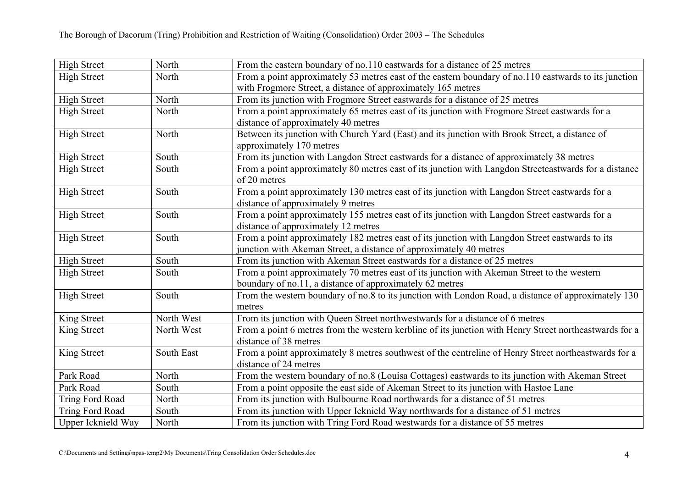| <b>High Street</b>     | North      | From the eastern boundary of no.110 eastwards for a distance of 25 metres                              |  |
|------------------------|------------|--------------------------------------------------------------------------------------------------------|--|
| <b>High Street</b>     | North      | From a point approximately 53 metres east of the eastern boundary of no.110 eastwards to its junction  |  |
|                        |            | with Frogmore Street, a distance of approximately 165 metres                                           |  |
| <b>High Street</b>     | North      | From its junction with Frogmore Street eastwards for a distance of 25 metres                           |  |
| <b>High Street</b>     | North      | From a point approximately 65 metres east of its junction with Frogmore Street eastwards for a         |  |
|                        |            | distance of approximately 40 metres                                                                    |  |
| <b>High Street</b>     | North      | Between its junction with Church Yard (East) and its junction with Brook Street, a distance of         |  |
|                        |            | approximately 170 metres                                                                               |  |
| <b>High Street</b>     | South      | From its junction with Langdon Street eastwards for a distance of approximately 38 metres              |  |
| <b>High Street</b>     | South      | From a point approximately 80 metres east of its junction with Langdon Streeteastwards for a distance  |  |
|                        |            | of 20 metres                                                                                           |  |
| <b>High Street</b>     | South      | From a point approximately 130 metres east of its junction with Langdon Street eastwards for a         |  |
|                        |            | distance of approximately 9 metres                                                                     |  |
| <b>High Street</b>     | South      | From a point approximately 155 metres east of its junction with Langdon Street eastwards for a         |  |
|                        |            | distance of approximately 12 metres                                                                    |  |
| <b>High Street</b>     | South      | From a point approximately 182 metres east of its junction with Langdon Street eastwards to its        |  |
|                        |            | junction with Akeman Street, a distance of approximately 40 metres                                     |  |
| <b>High Street</b>     | South      | From its junction with Akeman Street eastwards for a distance of 25 metres                             |  |
| <b>High Street</b>     | South      | From a point approximately 70 metres east of its junction with Akeman Street to the western            |  |
|                        |            | boundary of no.11, a distance of approximately 62 metres                                               |  |
| <b>High Street</b>     | South      | From the western boundary of no.8 to its junction with London Road, a distance of approximately 130    |  |
|                        |            | metres                                                                                                 |  |
| King Street            | North West | From its junction with Queen Street northwestwards for a distance of 6 metres                          |  |
| King Street            | North West | From a point 6 metres from the western kerbline of its junction with Henry Street northeastwards for a |  |
|                        |            | distance of 38 metres                                                                                  |  |
| King Street            | South East | From a point approximately 8 metres southwest of the centreline of Henry Street northeastwards for a   |  |
|                        |            | distance of 24 metres                                                                                  |  |
| Park Road              | North      | From the western boundary of no.8 (Louisa Cottages) eastwards to its junction with Akeman Street       |  |
| Park Road              | South      | From a point opposite the east side of Akeman Street to its junction with Hastoe Lane                  |  |
| Tring Ford Road        | North      | From its junction with Bulbourne Road northwards for a distance of 51 metres                           |  |
| <b>Tring Ford Road</b> | South      | From its junction with Upper Icknield Way northwards for a distance of 51 metres                       |  |
| Upper Icknield Way     | North      | From its junction with Tring Ford Road westwards for a distance of 55 metres                           |  |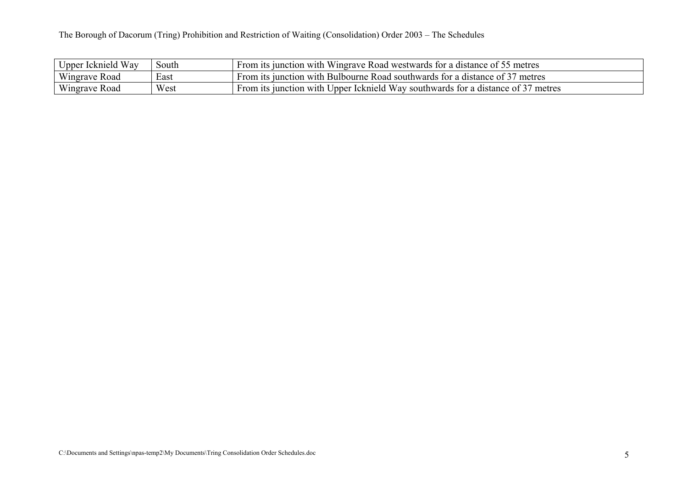| Upper Icknield Way | South | From its junction with Wingrave Road westwards for a distance of 55 metres       |
|--------------------|-------|----------------------------------------------------------------------------------|
| Wingrave Road      | East  | From its junction with Bulbourne Road southwards for a distance of 37 metres     |
| Wingrave Road      | West  | From its junction with Upper Icknield Way southwards for a distance of 37 metres |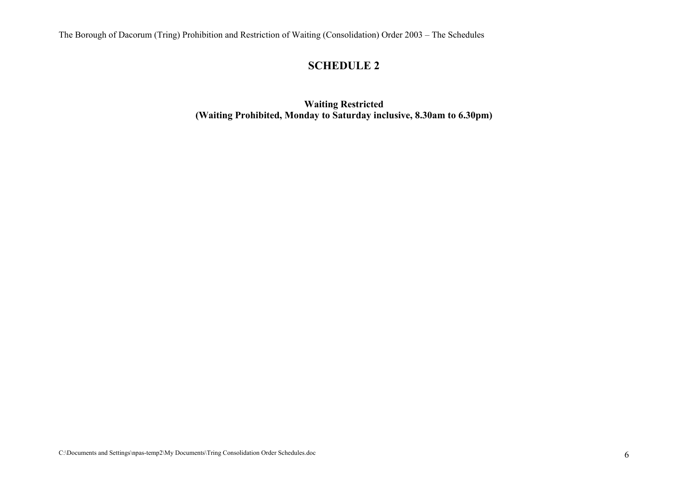# **SCHEDULE 2**

**Waiting Restricted (Waiting Prohibited, Monday to Saturday inclusive, 8.30am to 6.30pm)**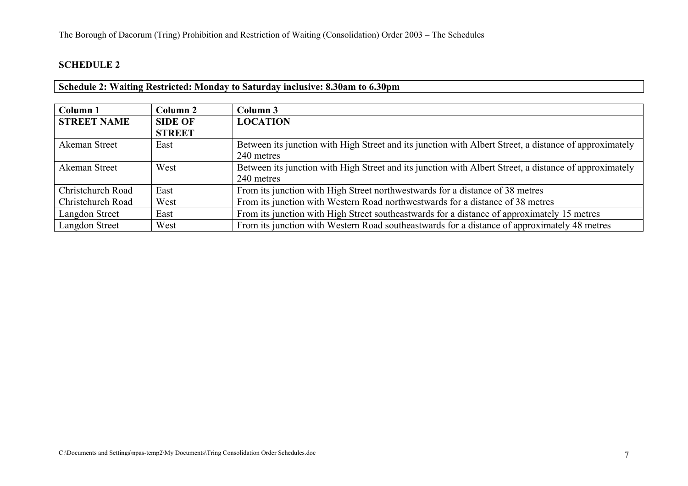### **Schedule 2: Waiting Restricted: Monday to Saturday inclusive: 8.30am to 6.30pm**

| Column <sub>1</sub> | Column 2       | Column 3                                                                                               |  |
|---------------------|----------------|--------------------------------------------------------------------------------------------------------|--|
| <b>STREET NAME</b>  | <b>SIDE OF</b> | <b>LOCATION</b>                                                                                        |  |
|                     | <b>STREET</b>  |                                                                                                        |  |
| Akeman Street       | East           | Between its junction with High Street and its junction with Albert Street, a distance of approximately |  |
|                     |                | 240 metres                                                                                             |  |
| Akeman Street       | West           | Between its junction with High Street and its junction with Albert Street, a distance of approximately |  |
|                     |                | 240 metres                                                                                             |  |
| Christchurch Road   | East           | From its junction with High Street northwestwards for a distance of 38 metres                          |  |
| Christchurch Road   | West           | From its junction with Western Road northwestwards for a distance of 38 metres                         |  |
| Langdon Street      | East           | From its junction with High Street southeastwards for a distance of approximately 15 metres            |  |
| Langdon Street      | West           | From its junction with Western Road southeastwards for a distance of approximately 48 metres           |  |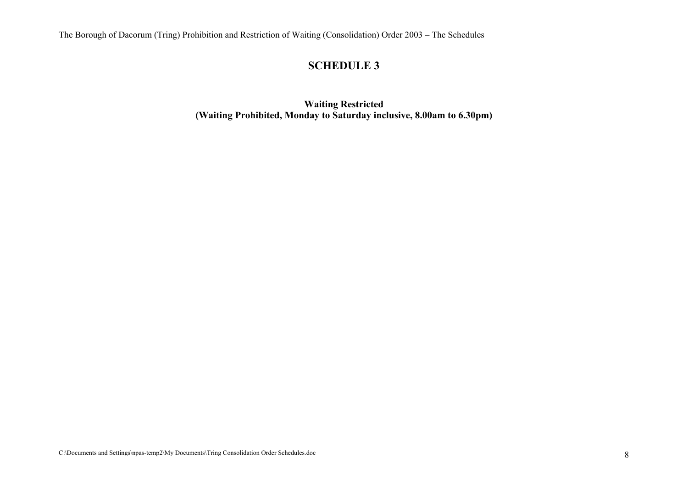# **SCHEDULE 3**

**Waiting Restricted (Waiting Prohibited, Monday to Saturday inclusive, 8.00am to 6.30pm)**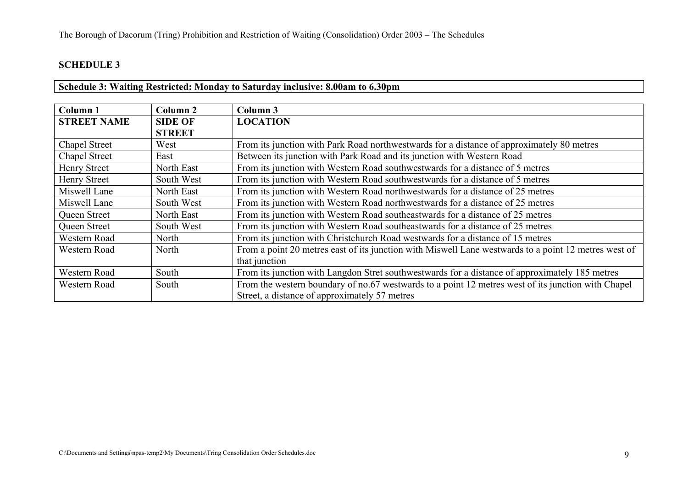### **Schedule 3: Waiting Restricted: Monday to Saturday inclusive: 8.00am to 6.30pm**

| Column 1             | Column 2       | Column 3                                                                                             |  |
|----------------------|----------------|------------------------------------------------------------------------------------------------------|--|
| <b>STREET NAME</b>   | <b>SIDE OF</b> | <b>LOCATION</b>                                                                                      |  |
|                      | <b>STREET</b>  |                                                                                                      |  |
| Chapel Street        | West           | From its junction with Park Road northwestwards for a distance of approximately 80 metres            |  |
| <b>Chapel Street</b> | East           | Between its junction with Park Road and its junction with Western Road                               |  |
| <b>Henry Street</b>  | North East     | From its junction with Western Road southwestwards for a distance of 5 metres                        |  |
| <b>Henry Street</b>  | South West     | From its junction with Western Road southwestwards for a distance of 5 metres                        |  |
| Miswell Lane         | North East     | From its junction with Western Road northwestwards for a distance of 25 metres                       |  |
| Miswell Lane         | South West     | From its junction with Western Road northwestwards for a distance of 25 metres                       |  |
| Queen Street         | North East     | From its junction with Western Road southeastwards for a distance of 25 metres                       |  |
| Queen Street         | South West     | From its junction with Western Road southeastwards for a distance of 25 metres                       |  |
| Western Road         | North          | From its junction with Christchurch Road westwards for a distance of 15 metres                       |  |
| Western Road         | North          | From a point 20 metres east of its junction with Miswell Lane westwards to a point 12 metres west of |  |
|                      |                | that junction                                                                                        |  |
| Western Road         | South          | From its junction with Langdon Stret southwestwards for a distance of approximately 185 metres       |  |
| Western Road         | South          | From the western boundary of no.67 westwards to a point 12 metres west of its junction with Chapel   |  |
|                      |                | Street, a distance of approximately 57 metres                                                        |  |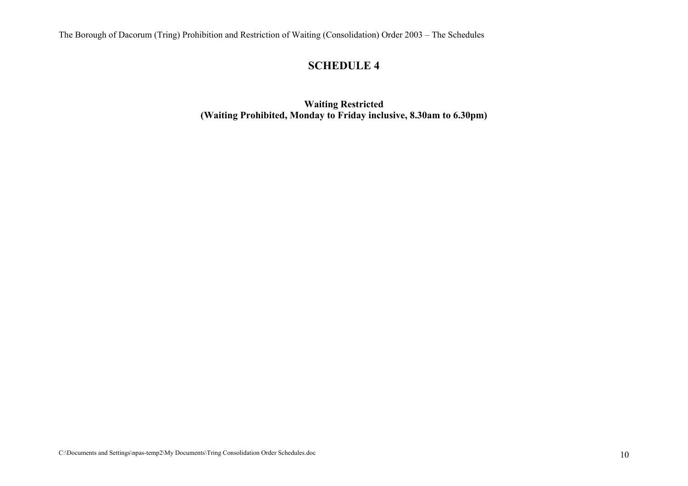# **SCHEDULE 4**

**Waiting Restricted (Waiting Prohibited, Monday to Friday inclusive, 8.30am to 6.30pm)**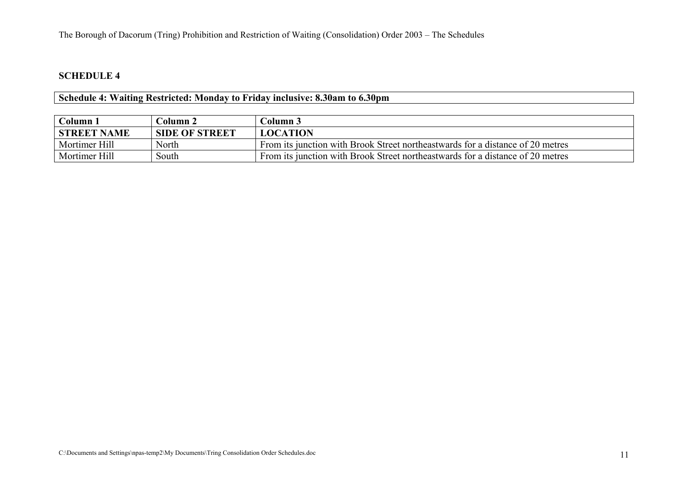| Schedule 4: Waiting Restricted: Monday to Friday inclusive: 8.30am to 6.30pm |  |  |
|------------------------------------------------------------------------------|--|--|
|                                                                              |  |  |

| Column 1           | Column 2              | Column 3                                                                       |
|--------------------|-----------------------|--------------------------------------------------------------------------------|
| <b>STREET NAME</b> | <b>SIDE OF STREET</b> | <b>LOCATION</b>                                                                |
| Mortimer Hill      | North                 | From its junction with Brook Street northeastwards for a distance of 20 metres |
| Mortimer Hill      | South                 | From its junction with Brook Street northeastwards for a distance of 20 metres |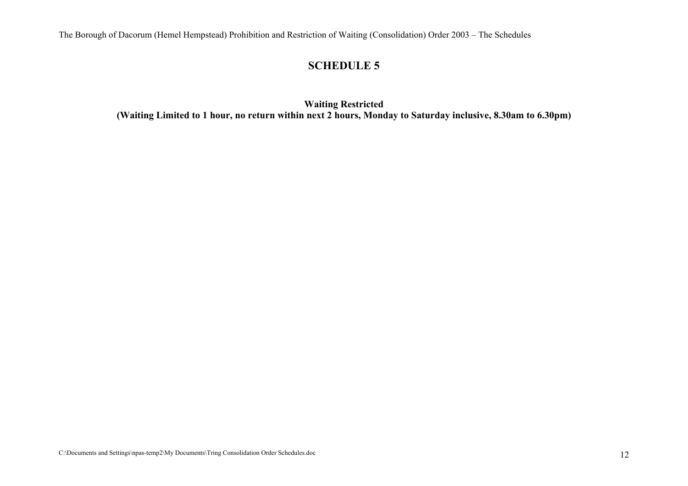### **SCHEDULE 5**

**Waiting Restricted (Waiting Limited to 1 hour, no return within next 2 hours, Monday to Saturday inclusive, 8.30am to 6.30pm)**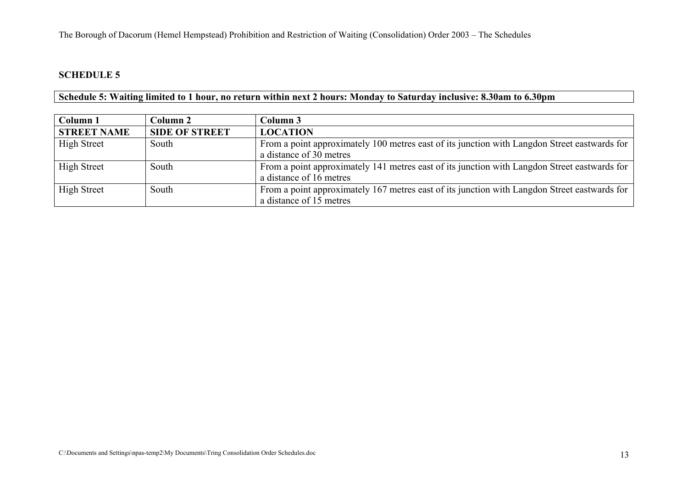**Schedule 5: Waiting limited to 1 hour, no return within next 2 hours: Monday to Saturday inclusive: 8.30am to 6.30pm** 

| Column 1           | Column 2              | Column 3                                                                                                                |
|--------------------|-----------------------|-------------------------------------------------------------------------------------------------------------------------|
| <b>STREET NAME</b> | <b>SIDE OF STREET</b> | <b>LOCATION</b>                                                                                                         |
| <b>High Street</b> | South                 | From a point approximately 100 metres east of its junction with Langdon Street eastwards for<br>a distance of 30 metres |
| <b>High Street</b> | South                 | From a point approximately 141 metres east of its junction with Langdon Street eastwards for<br>a distance of 16 metres |
| <b>High Street</b> | South                 | From a point approximately 167 metres east of its junction with Langdon Street eastwards for<br>a distance of 15 metres |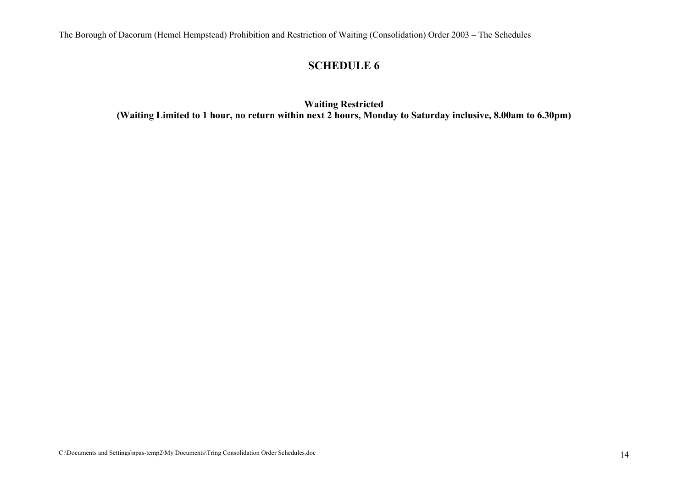### **SCHEDULE 6**

**Waiting Restricted (Waiting Limited to 1 hour, no return within next 2 hours, Monday to Saturday inclusive, 8.00am to 6.30pm)**